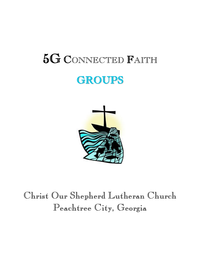# 5G <sup>C</sup>ONNECTED <sup>F</sup>AITH **GROUPS**



## Christ Our Shepherd Lutheran Church Peachtree City, Georgia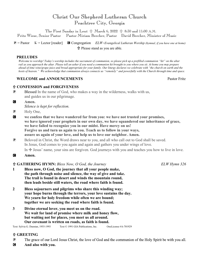### Christ Our Shepherd Lutheran Church Peachtree City, Georgia

The First Sunday in Lent  $\frac{1}{11}$  March 6, 2022  $\frac{1}{11}$  8:30 and 11:00 A.M. Fritz Wiese, Senior Pastor Pastor Miriam Beecher, Pastor David Beecher, Minister of Music

P = Pastor L = Lector [reader] C Congregation *ELW=Evangelical Lutheran Worship (hymnal, if you have one at home)* Please stand as you are able.

#### **PRELUDES**

*Welcome to worship! Today's worship includes the sacrament of communion, so please pick up a prefilled communion "kit" on the altar rail as you approach the altar. Please tell an usher if you need a communion kit brought to you where you sit. At home you may prepare ahead of time wine/grape juice and bread appropriate for your family. Our liturgy declares we celebrate with "the church on earth and the hosts of heaven." We acknowledge that communion always connects us "remotely" and powerfully with the Church through time and space.* 

#### **WELCOME and ANNOUNCEMENTS** Pastor Fritz

#### **CONFESSION and FORGIVENESS**

- P Blessed In the name of God, who makes a way in the wilderness, walks with us, and guides us in our pilgrimage.
- C **Amen.**

*Silence is kept for reflection.*

- **P** Holy One,
- C **we confess that we have wandered far from you: we have not trusted your promises, we have ignored your prophets in our own day, we have squandered our inheritance of grace, we have failed to recognize you in our midst. Have mercy on us! Forgive us and turn us again to you. Teach us to follow in your ways, assure us again of your love, and help us to love our neighbor. Amen.**
- **P** Beloved in Christ, the Word draws near to you, and all who call out to God shall be saved. In Jesus, God comes to you again and again and gathers you under wings of love.

In  $\pm$  Jesus' name, your sins are forgiven. God journeys with you and teaches you how to live in love.

C **Amen.**

#### **GATHERING HYMN:** *Bless Now, O God, the Journey ELW Hymn 326*

- **1 Bless now, O God, the journey that all your people make, the path through noise and silence, the way of give and take. The trail is found in desert and winds the mountain round, then leads beside still waters, the road where faith is found.**
- **2 Bless sojourners and pilgrims who share this winding way; your hope burns through the terrors, your love sustains the day. We yearn for holy freedom while often we are bound; together we are seeking the road where faith is found.**
- **3 Divine eternal lover, you meet us on the road. We wait for land of promise where milk and honey flow, but waiting not for places, you meet us all around. Our covenant is written on roads, as faith is found.**

Text: Sylvia G. Dunstan, 1955-1993 Text © 1991 GIA Publications, Inc. OneLicense #A-701929

#### **GREETING**

- **P** The grace of our Lord Jesus Christ, the love of God and the communion of the Holy Spirit be with you all.
- C **And also with you.**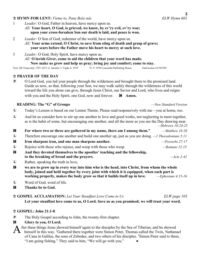#### **HYMN FOR LENT:** *Vieme to, Pane Bože nás ELW Hymn 602*

- 1 *Leader:* O God, Father in heaven, have mercy upon us. *All:* **Your heart, O God, is grieved, we know, by ev'ry evil, ev'ry woe; upon your cross-forsaken Son our death is laid, and peace is won.**
- 2 *Leader:* O Son of God, redeemer of the world, have mercy upon us. *All:* **Your arms extend, O Christ, to save from sting of death and grasp of grave; your scars before the Father move his heart to mercy at such love.**
- 3 *Leader:* O God, Holy Spirit, have mercy upon us. *All:* **O lavish Giver, come to aid the children that your word has made. Now make us grow and help us pray; bring joy and comfort; come to stay.**

Text: Jiřī Tranovský, 1591-1637; tr. Jaroslav J. Vajda, b. 1919 Tr. © 1970 Concordia Publishing House OneLicense #A701929

#### **PRAYER OF THE DAY**

P O Lord God, you led your people through the wilderness and brought them to the promised land. Guide us now, so that, following your Son, we may walk safely through the wilderness of this world toward the life you alone can give, through Jesus Christ, our Savior and Lord, who lives and reigns with you and the Holy Spirit, one God, now and forever. **G** Amen.

#### **READING: The "G" of Groups** *—New Standard Version*

- L Today's Lesson is based on our Lenten Theme. Please read responsively with me—you at home, too.
- L And let us consider how to stir up one another to love and good works, not neglecting to meet together, as is the habit of some, but encouraging one another, and all the more as you see the Day drawing near.
- *—Hebrews 10:24-25* C **For where two or three are gathered in my name, there am I among them."** *—Matthew 18:20* L Therefore encourage one another and build one another up, just as you are doing. *—1 Thessalonians 5:11* C **Iron sharpens iron, and one man sharpens another.** *—Proverbs 27:17* L Rejoice with those who rejoice, and weep with those who weep. *—Romans 12:15* C **And they devoted themselves to the apostles' teaching and the fellowship, to the breaking of bread and the prayers.** *—Acts 2:42*
- L Rather, speaking the truth in love,
- C **we are to grow up in every way into him who is the head, into Christ, from whom the whole body, joined and held together by every joint with which it is equipped, when each part is working properly, makes the body grow so that it builds itself up in love.** *—Ephesians 4:15-16*
- L Word of God, word of life.
- C **Thanks be to God.**

#### **GOSPEL ACCLAMATION:** *Let Your Steadfast Love Come to Us ELW page 103*

**Let your steadfast love come to us, O Lord. Save us as you promised; we will trust your word.**

#### **GOSPEL: John 21:1-8**

P The Holy Gospel according to John, the twenty-first chapter.

## **G** Glory to you, O Lord. A

fter these things Jesus showed himself again to the disciples by the Sea of Tiberias; and he showed himself in this way. <sup>2</sup>Gathered there together were Simon Peter, Thomas called the Twin, Nathanael of Cana in Galilee, the sons of Zebedee, and two others of his disciples. <sup>3</sup> Simon Peter said to them, "I am going fishing." They said to him, "We will go with you."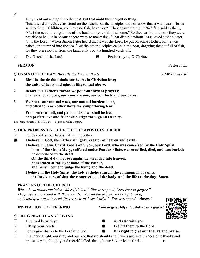4

They went out and got into the boat, but that night they caught nothing.

<sup>4</sup> Just after daybreak, Jesus stood on the beach; but the disciples did not know that it was Jesus. <sup>5</sup> Jesus said to them, "Children, you have no fish, have you?" They answered him, "No." <sup>6</sup>He said to them, "Cast the net to the right side of the boat, and you will find some." So they cast it, and now they were not able to haul it in because there were so many fish. <sup>7</sup>That disciple whom Jesus loved said to Peter, "It is the Lord!" When Simon Peter heard that it was the Lord, he put on some clothes, for he was naked, and jumped into the sea. <sup>8</sup>But the other disciples came in the boat, dragging the net full of fish, for they were not far from the land, only about a hundred yards off.

**P** The Gospel of the Lord. **C Praise to you, O Christ.** 

#### **SERMON** Pastor Fritz

**HYMN OF THE DAY:** *Blest Be the Tie that Binds ELW Hymn 656*

- **1 Blest be the tie that binds our hearts in Christian love; the unity of heart and mind is like to that above.**
- **2 Before our Father's throne we pour our ardent prayers; our fears, our hopes, our aims are one, our comforts and our cares.**
- **3 We share our mutual woes, our mutual burdens bear, and often for each other flows the sympathizing tear.**
- **4 From sorrow, toil, and pain, and sin we shall be free; and perfect love and friendship reign through all eternity.**

Text: John Fawcett, 1740-1817, alt. Text is in Public Domain.

#### **OUR PROFESSION OF FAITH: THE APOSTLES' CREED**

- P Let us confess our baptismal faith together.
- C **I believe in God, the Father almighty, creator of heaven and earth.**
	- **I believe in Jesus Christ, God's only Son, our Lord, who was conceived by the Holy Spirit, born of the virgin Mary, suffered under Pontius Pilate, was crucified, died, and was buried; he descended to the dead.** 
		- **On the third day he rose again; he ascended into heaven,**
		- **he is seated at the right hand of the Father,**

**and he will come to judge the living and the dead.** 

**I believe in the Holy Spirit, the holy catholic church, the communion of saints, the forgiveness of sins, the resurrection of the body, and the life everlasting. Amen.** 

#### **PRAYERS OF THE CHURCH**

 *When the petition concludes "Merciful God," Please respond, "receive our prayer." The prayers are ended with these words, "Accept the prayers we bring, O God, on behalf of a world in need, for the sake of Jesus Christ." Please respond, "Amen."* 

#### **THE GREAT THANKSGIVING**

- P The Lord be with you. C **And also with you.**
- **P** Lift up your hearts. **C** We lift them to the Lord.
- P Let us give thanks to the Lord our God. C **It is right to give our thanks and praise.**
- P It is indeed right, our duty and our joy, that we should at all times and in all places give thanks and praise to you, almighty and merciful God, through our Savior Jesus Christ. >

 **INVITATION TO OFFERING** *Link to give:* https://coslutheran.org/give/



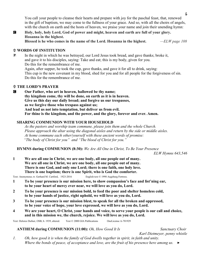You call your people to cleanse their hearts and prepare with joy for the paschal feast, that, renewed in the gift of baptism, we may come to the fullness of your grace. And so, with all the choirs of angels, with the church on earth and the hosts of heaven, we praise your name and join their unending hymn:

C **Holy, holy, holy Lord, God of power and might, heaven and earth are full of your glory. Hosanna in the highest.** 

**Blessed is he who comes in the name of the Lord. Hosanna in the highest.** *—ELW page 108*

#### **WORDS OF INSTITUTION**

P In the night in which he was betrayed, our Lord Jesus took bread, and gave thanks; broke it, and gave it to his disciples, saying: Take and eat; this is my body, given for you. Do this for the remembrance of me. Again, after supper, he took the cup, gave thanks, and gave it for all to drink, saying: This cup is the new covenant in my blood, shed for you and for all people for the forgiveness of sin. Do this for the remembrance of me.

#### **THE LORD'S PRAYER**

C **Our Father, who art in heaven, hallowed be thy name; thy kingdom come, thy will be done, on earth as it is in heaven. Give us this day our daily bread; and forgive us our trespasses, as we forgive those who trespass against us; And lead us not into temptation, but deliver us from evil. For thine is the kingdom, and the power, and the glory, forever and ever. Amen.** 

#### **SHARING COMMUNION WITH YOUR HOUSEHOLD**

*As the pastors and worship team commune, please join them and the whole Church. Please approach the altar using the diagonal aisles and return by the side or middle aisles. At home commune each other/yourself with these ancient words of promise: "The body of Christ for you" and "The blood of Christ for you."*

 **HYMNS during COMMUNION (8:30):** *We Are All One in Christ, To Be Your Presence* 

*ELW Hymns 643,546*

**1 We are all one in Christ, we are one body, all one people out of many. We are all one in Christ, we are one body, all one people out of many. There is one God, and only one Lord; there is one faith, one holy love. There is one baptism; there is one Spirit, who is God the comforter.**

Text: Anonymous; tr. Gerhard M. Cartford, 1923-2016 English text © 1998 Augsburg Fortress.

- **1 To be your presence is our mission here, to show compassion's face and list'ning ear, to be your heart of mercy ever near, we will love as you do, Lord.**
- **2 To be your presence is our mission bold, to feed the poor and shelter homeless cold, to be your hands of justice, right uphold, we will love as you do, Lord.**
- **3 To be your presence is our mission blest, to speak for all the broken and oppressed, to be your voice of hope, your love expressed, we will love as you do, Lord.**
- **4 We are your heart, O Christ, your hands and voice, to serve your people is our call and choice, and in this mission we, the church, rejoice. We will love as you do, Lord.**

Text: Delores Dufner, OSB, b. 1939, altered. Text © 2000 GIA Publications OneLicense A-701929

#### **ANTHEM during COMMUNION (11:00):** *Oh, How Good It Is Sanctuary Choir*

*Karl Dietmeyer, penny whistle*

*1. Oh, how good it is when the family of God dwells together in spirit, in faith and unity. Where the bonds of peace, of acceptance and love, are the fruit of his presence here among us.*  $\rightarrow$